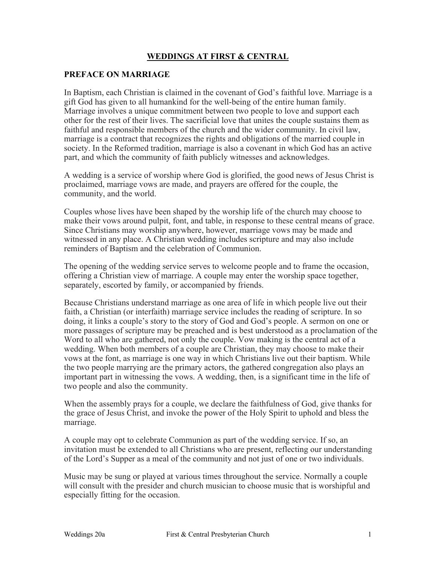# **WEDDINGS AT FIRST & CENTRAL**

#### **PREFACE ON MARRIAGE**

In Baptism, each Christian is claimed in the covenant of God's faithful love. Marriage is a gift God has given to all humankind for the well-being of the entire human family. Marriage involves a unique commitment between two people to love and support each other for the rest of their lives. The sacrificial love that unites the couple sustains them as faithful and responsible members of the church and the wider community. In civil law, marriage is a contract that recognizes the rights and obligations of the married couple in society. In the Reformed tradition, marriage is also a covenant in which God has an active part, and which the community of faith publicly witnesses and acknowledges.

A wedding is a service of worship where God is glorified, the good news of Jesus Christ is proclaimed, marriage vows are made, and prayers are offered for the couple, the community, and the world.

Couples whose lives have been shaped by the worship life of the church may choose to make their vows around pulpit, font, and table, in response to these central means of grace. Since Christians may worship anywhere, however, marriage vows may be made and witnessed in any place. A Christian wedding includes scripture and may also include reminders of Baptism and the celebration of Communion.

The opening of the wedding service serves to welcome people and to frame the occasion, offering a Christian view of marriage. A couple may enter the worship space together, separately, escorted by family, or accompanied by friends.

Because Christians understand marriage as one area of life in which people live out their faith, a Christian (or interfaith) marriage service includes the reading of scripture. In so doing, it links a couple's story to the story of God and God's people. A sermon on one or more passages of scripture may be preached and is best understood as a proclamation of the Word to all who are gathered, not only the couple. Vow making is the central act of a wedding. When both members of a couple are Christian, they may choose to make their vows at the font, as marriage is one way in which Christians live out their baptism. While the two people marrying are the primary actors, the gathered congregation also plays an important part in witnessing the vows. A wedding, then, is a significant time in the life of two people and also the community.

When the assembly prays for a couple, we declare the faithfulness of God, give thanks for the grace of Jesus Christ, and invoke the power of the Holy Spirit to uphold and bless the marriage.

A couple may opt to celebrate Communion as part of the wedding service. If so, an invitation must be extended to all Christians who are present, reflecting our understanding of the Lord's Supper as a meal of the community and not just of one or two individuals.

Music may be sung or played at various times throughout the service. Normally a couple will consult with the presider and church musician to choose music that is worshipful and especially fitting for the occasion.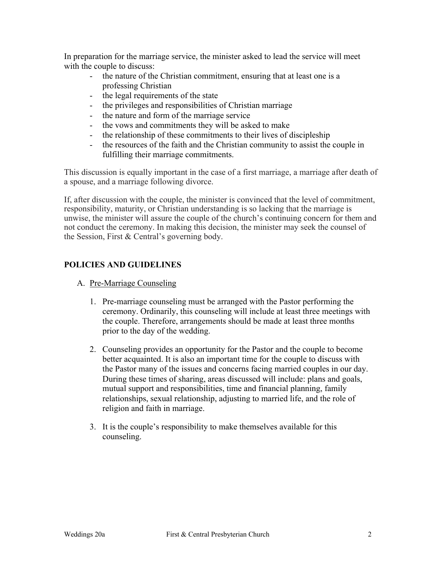In preparation for the marriage service, the minister asked to lead the service will meet with the couple to discuss:

- the nature of the Christian commitment, ensuring that at least one is a professing Christian
- the legal requirements of the state
- the privileges and responsibilities of Christian marriage
- the nature and form of the marriage service
- the vows and commitments they will be asked to make
- the relationship of these commitments to their lives of discipleship
- the resources of the faith and the Christian community to assist the couple in fulfilling their marriage commitments.

This discussion is equally important in the case of a first marriage, a marriage after death of a spouse, and a marriage following divorce.

If, after discussion with the couple, the minister is convinced that the level of commitment, responsibility, maturity, or Christian understanding is so lacking that the marriage is unwise, the minister will assure the couple of the church's continuing concern for them and not conduct the ceremony. In making this decision, the minister may seek the counsel of the Session, First & Central's governing body.

# **POLICIES AND GUIDELINES**

- A. Pre-Marriage Counseling
	- 1. Pre-marriage counseling must be arranged with the Pastor performing the ceremony. Ordinarily, this counseling will include at least three meetings with the couple. Therefore, arrangements should be made at least three months prior to the day of the wedding.
	- 2. Counseling provides an opportunity for the Pastor and the couple to become better acquainted. It is also an important time for the couple to discuss with the Pastor many of the issues and concerns facing married couples in our day. During these times of sharing, areas discussed will include: plans and goals, mutual support and responsibilities, time and financial planning, family relationships, sexual relationship, adjusting to married life, and the role of religion and faith in marriage.
	- 3. It is the couple's responsibility to make themselves available for this counseling.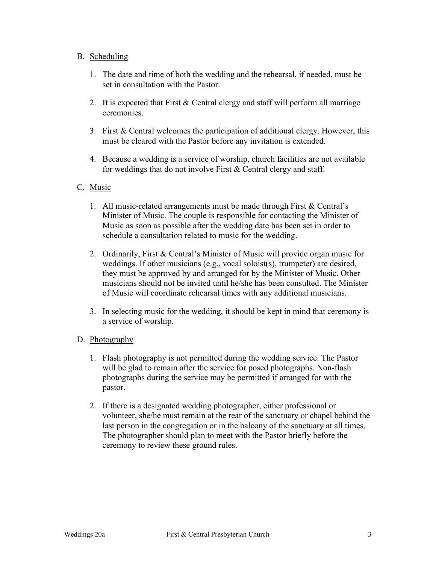### B. Scheduling

- 1. The date and time of both the wedding and the rehearsal, if needed, must be set in consultation with the Pastor.
- 2. It is expected that First & Central clergy and staff will perform all marriage ceremonies.
- 3. First & Central welcomes the participation of additional clergy. However, this must be cleared with the Pastor before any invitation is extended.
- 4. Because a wedding is a service of worship, church facilities are not available for weddings that do not involve First & Central clergy and staff.

### C. Music

- 1. All music-related arrangements must be made through First & Central's Minister of Music. The couple is responsible for contacting the Minister of Music as soon as possible after the wedding date has been set in order to schedule a consultation related to music for the wedding.
- 2. Ordinarily, First & Central's Minister of Music will provide organ music for weddings. If other musicians (e.g., vocal soloist(s), trumpeter) are desired, they must be approved by and arranged for by the Minister of Music. Other musicians should not be invited until he/she has been consulted. The Minister of Music will coordinate rehearsal times with any additional musicians.
- 3. In selecting music for the wedding, it should be kept in mind that ceremony is a service of worship.

# D. Photography

- 1. Flash photography is not permitted during the wedding service. The Pastor will be glad to remain after the service for posed photographs. Non-flash photographs during the service may be permitted if arranged for with the pastor.
- 2. If there is a designated wedding photographer, either professional or volunteer, she/he must remain at the rear of the sanctuary or chapel behind the last person in the congregation or in the balcony of the sanctuary at all times. The photographer should plan to meet with the Pastor briefly before the ceremony to review these ground rules.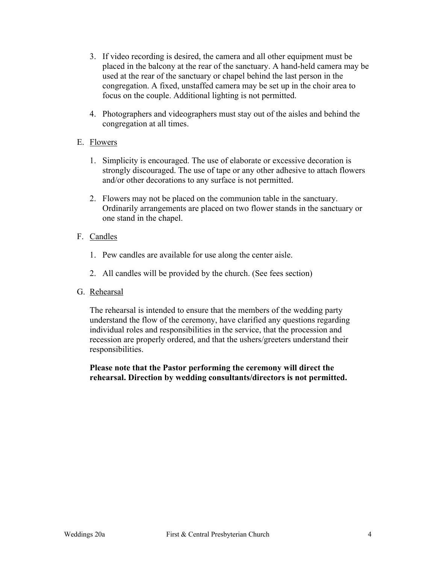- 3. If video recording is desired, the camera and all other equipment must be placed in the balcony at the rear of the sanctuary. A hand-held camera may be used at the rear of the sanctuary or chapel behind the last person in the congregation. A fixed, unstaffed camera may be set up in the choir area to focus on the couple. Additional lighting is not permitted.
- 4. Photographers and videographers must stay out of the aisles and behind the congregation at all times.

# E. Flowers

- 1. Simplicity is encouraged. The use of elaborate or excessive decoration is strongly discouraged. The use of tape or any other adhesive to attach flowers and/or other decorations to any surface is not permitted.
- 2. Flowers may not be placed on the communion table in the sanctuary. Ordinarily arrangements are placed on two flower stands in the sanctuary or one stand in the chapel.

# F. Candles

- 1. Pew candles are available for use along the center aisle.
- 2. All candles will be provided by the church. (See fees section)

# G. Rehearsal

The rehearsal is intended to ensure that the members of the wedding party understand the flow of the ceremony, have clarified any questions regarding individual roles and responsibilities in the service, that the procession and recession are properly ordered, and that the ushers/greeters understand their responsibilities.

**Please note that the Pastor performing the ceremony will direct the rehearsal. Direction by wedding consultants/directors is not permitted.**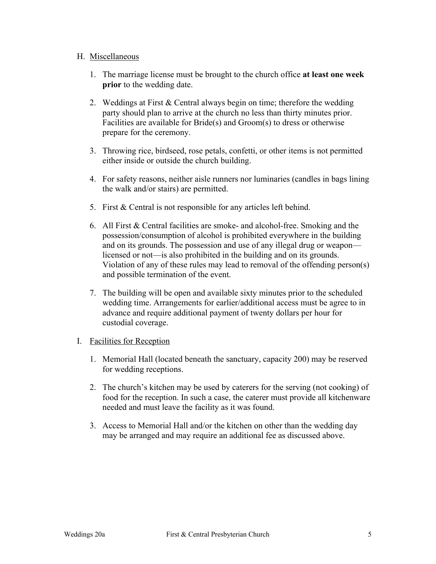#### H. Miscellaneous

- 1. The marriage license must be brought to the church office **at least one week prior** to the wedding date.
- 2. Weddings at First & Central always begin on time; therefore the wedding party should plan to arrive at the church no less than thirty minutes prior. Facilities are available for Bride(s) and Groom(s) to dress or otherwise prepare for the ceremony.
- 3. Throwing rice, birdseed, rose petals, confetti, or other items is not permitted either inside or outside the church building.
- 4. For safety reasons, neither aisle runners nor luminaries (candles in bags lining the walk and/or stairs) are permitted.
- 5. First & Central is not responsible for any articles left behind.
- 6. All First & Central facilities are smoke- and alcohol-free. Smoking and the possession/consumption of alcohol is prohibited everywhere in the building and on its grounds. The possession and use of any illegal drug or weapon licensed or not—is also prohibited in the building and on its grounds. Violation of any of these rules may lead to removal of the offending person(s) and possible termination of the event.
- 7. The building will be open and available sixty minutes prior to the scheduled wedding time. Arrangements for earlier/additional access must be agree to in advance and require additional payment of twenty dollars per hour for custodial coverage.

#### I. Facilities for Reception

- 1. Memorial Hall (located beneath the sanctuary, capacity 200) may be reserved for wedding receptions.
- 2. The church's kitchen may be used by caterers for the serving (not cooking) of food for the reception. In such a case, the caterer must provide all kitchenware needed and must leave the facility as it was found.
- 3. Access to Memorial Hall and/or the kitchen on other than the wedding day may be arranged and may require an additional fee as discussed above.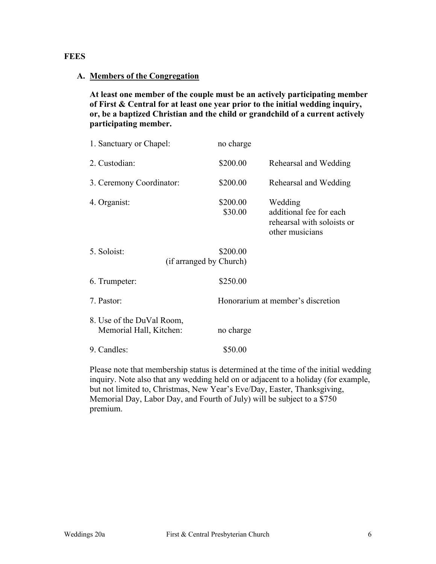### **FEES**

#### **A. Members of the Congregation**

**At least one member of the couple must be an actively participating member of First & Central for at least one year prior to the initial wedding inquiry, or, be a baptized Christian and the child or grandchild of a current actively participating member.**

| 1. Sanctuary or Chapel:                              | no charge           |                                                                                     |
|------------------------------------------------------|---------------------|-------------------------------------------------------------------------------------|
| 2. Custodian:                                        | \$200.00            | Rehearsal and Wedding                                                               |
| 3. Ceremony Coordinator:                             | \$200.00            | Rehearsal and Wedding                                                               |
| 4. Organist:                                         | \$200.00<br>\$30.00 | Wedding<br>additional fee for each<br>rehearsal with soloists or<br>other musicians |
| 5. Soloist:<br>(if arranged by Church)               | \$200.00            |                                                                                     |
| 6. Trumpeter:                                        | \$250.00            |                                                                                     |
| 7. Pastor:                                           |                     | Honorarium at member's discretion                                                   |
| 8. Use of the DuVal Room,<br>Memorial Hall, Kitchen: | no charge           |                                                                                     |
| 9. Candles:                                          | \$50.00             |                                                                                     |

Please note that membership status is determined at the time of the initial wedding inquiry. Note also that any wedding held on or adjacent to a holiday (for example, but not limited to, Christmas, New Year's Eve/Day, Easter, Thanksgiving, Memorial Day, Labor Day, and Fourth of July) will be subject to a \$750 premium.